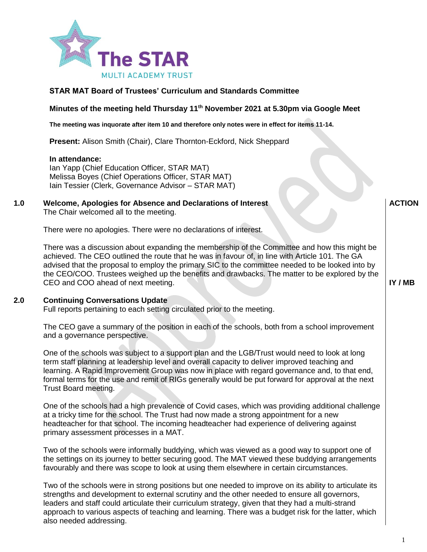

# **STAR MAT Board of Trustees' Curriculum and Standards Committee**

# **Minutes of the meeting held Thursday 11th November 2021 at 5.30pm via Google Meet**

**The meeting was inquorate after item 10 and therefore only notes were in effect for items 11-14.**

**Present:** Alison Smith (Chair), Clare Thornton-Eckford, Nick Sheppard

## **In attendance:**

Ian Yapp (Chief Education Officer, STAR MAT) Melissa Boyes (Chief Operations Officer, STAR MAT) Iain Tessier (Clerk, Governance Advisor – STAR MAT)

### **1.0 Welcome, Apologies for Absence and Declarations of Interest** The Chair welcomed all to the meeting.

There were no apologies. There were no declarations of interest.

There was a discussion about expanding the membership of the Committee and how this might be achieved. The CEO outlined the route that he was in favour of, in line with Article 101. The GA advised that the proposal to employ the primary SIC to the committee needed to be looked into by the CEO/COO. Trustees weighed up the benefits and drawbacks. The matter to be explored by the CEO and COO ahead of next meeting.

#### **2.0 Continuing Conversations Update**

Full reports pertaining to each setting circulated prior to the meeting.

The CEO gave a summary of the position in each of the schools, both from a school improvement and a governance perspective.

One of the schools was subject to a support plan and the LGB/Trust would need to look at long term staff planning at leadership level and overall capacity to deliver improved teaching and learning. A Rapid Improvement Group was now in place with regard governance and, to that end, formal terms for the use and remit of RIGs generally would be put forward for approval at the next Trust Board meeting.

One of the schools had a high prevalence of Covid cases, which was providing additional challenge at a tricky time for the school. The Trust had now made a strong appointment for a new headteacher for that school. The incoming headteacher had experience of delivering against primary assessment processes in a MAT.

Two of the schools were informally buddying, which was viewed as a good way to support one of the settings on its journey to better securing good. The MAT viewed these buddying arrangements favourably and there was scope to look at using them elsewhere in certain circumstances.

Two of the schools were in strong positions but one needed to improve on its ability to articulate its strengths and development to external scrutiny and the other needed to ensure all governors, leaders and staff could articulate their curriculum strategy, given that they had a multi-strand approach to various aspects of teaching and learning. There was a budget risk for the latter, which also needed addressing.

**ACTION**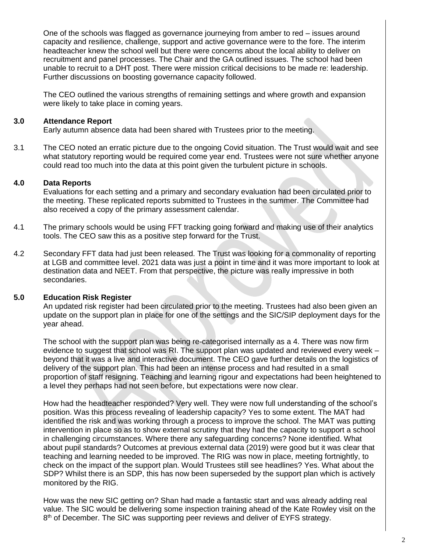One of the schools was flagged as governance journeying from amber to red – issues around capacity and resilience, challenge, support and active governance were to the fore. The interim headteacher knew the school well but there were concerns about the local ability to deliver on recruitment and panel processes. The Chair and the GA outlined issues. The school had been unable to recruit to a DHT post. There were mission critical decisions to be made re: leadership. Further discussions on boosting governance capacity followed.

The CEO outlined the various strengths of remaining settings and where growth and expansion were likely to take place in coming years.

#### **3.0 Attendance Report**

Early autumn absence data had been shared with Trustees prior to the meeting.

3.1 The CEO noted an erratic picture due to the ongoing Covid situation. The Trust would wait and see what statutory reporting would be required come year end. Trustees were not sure whether anyone could read too much into the data at this point given the turbulent picture in schools.

#### **4.0 Data Reports**

Evaluations for each setting and a primary and secondary evaluation had been circulated prior to the meeting. These replicated reports submitted to Trustees in the summer. The Committee had also received a copy of the primary assessment calendar.

- 4.1 The primary schools would be using FFT tracking going forward and making use of their analytics tools. The CEO saw this as a positive step forward for the Trust.
- 4.2 Secondary FFT data had just been released. The Trust was looking for a commonality of reporting at LGB and committee level. 2021 data was just a point in time and it was more important to look at destination data and NEET. From that perspective, the picture was really impressive in both secondaries.

#### **5.0 Education Risk Register**

An updated risk register had been circulated prior to the meeting. Trustees had also been given an update on the support plan in place for one of the settings and the SIC/SIP deployment days for the year ahead.

The school with the support plan was being re-categorised internally as a 4. There was now firm evidence to suggest that school was RI. The support plan was updated and reviewed every week – beyond that it was a live and interactive document. The CEO gave further details on the logistics of delivery of the support plan. This had been an intense process and had resulted in a small proportion of staff resigning. Teaching and learning rigour and expectations had been heightened to a level they perhaps had not seen before, but expectations were now clear.

How had the headteacher responded? Very well. They were now full understanding of the school's position. Was this process revealing of leadership capacity? Yes to some extent. The MAT had identified the risk and was working through a process to improve the school. The MAT was putting intervention in place so as to show external scrutiny that they had the capacity to support a school in challenging circumstances. Where there any safeguarding concerns? None identified. What about pupil standards? Outcomes at previous external data (2019) were good but it was clear that teaching and learning needed to be improved. The RIG was now in place, meeting fortnightly, to check on the impact of the support plan. Would Trustees still see headlines? Yes. What about the SDP? Whilst there is an SDP, this has now been superseded by the support plan which is actively monitored by the RIG.

How was the new SIC getting on? Shan had made a fantastic start and was already adding real value. The SIC would be delivering some inspection training ahead of the Kate Rowley visit on the 8<sup>th</sup> of December. The SIC was supporting peer reviews and deliver of EYFS strategy.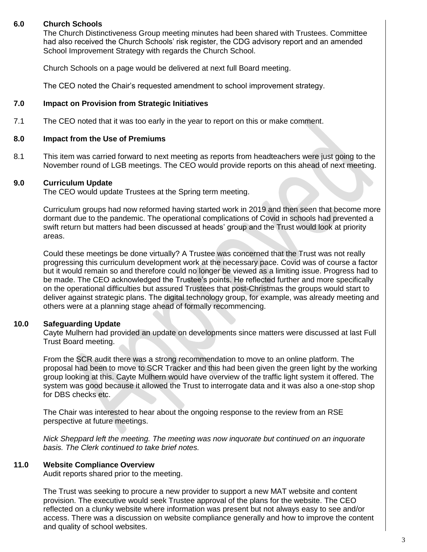#### **6.0 Church Schools**

The Church Distinctiveness Group meeting minutes had been shared with Trustees. Committee had also received the Church Schools' risk register, the CDG advisory report and an amended School Improvement Strategy with regards the Church School.

Church Schools on a page would be delivered at next full Board meeting.

The CEO noted the Chair's requested amendment to school improvement strategy.

#### **7.0 Impact on Provision from Strategic Initiatives**

7.1 The CEO noted that it was too early in the year to report on this or make comment.

#### **8.0 Impact from the Use of Premiums**

8.1 This item was carried forward to next meeting as reports from headteachers were just going to the November round of LGB meetings. The CEO would provide reports on this ahead of next meeting.

#### **9.0 Curriculum Update**

The CEO would update Trustees at the Spring term meeting.

Curriculum groups had now reformed having started work in 2019 and then seen that become more dormant due to the pandemic. The operational complications of Covid in schools had prevented a swift return but matters had been discussed at heads' group and the Trust would look at priority areas.

Could these meetings be done virtually? A Trustee was concerned that the Trust was not really progressing this curriculum development work at the necessary pace. Covid was of course a factor but it would remain so and therefore could no longer be viewed as a limiting issue. Progress had to be made. The CEO acknowledged the Trustee's points. He reflected further and more specifically on the operational difficulties but assured Trustees that post-Christmas the groups would start to deliver against strategic plans. The digital technology group, for example, was already meeting and others were at a planning stage ahead of formally recommencing.

#### **10.0 Safeguarding Update**

Cayte Mulhern had provided an update on developments since matters were discussed at last Full Trust Board meeting.

From the SCR audit there was a strong recommendation to move to an online platform. The proposal had been to move to SCR Tracker and this had been given the green light by the working group looking at this. Cayte Mulhern would have overview of the traffic light system it offered. The system was good because it allowed the Trust to interrogate data and it was also a one-stop shop for DBS checks etc.

The Chair was interested to hear about the ongoing response to the review from an RSE perspective at future meetings.

*Nick Sheppard left the meeting. The meeting was now inquorate but continued on an inquorate basis. The Clerk continued to take brief notes.*

#### **11.0 Website Compliance Overview**

Audit reports shared prior to the meeting.

The Trust was seeking to procure a new provider to support a new MAT website and content provision. The executive would seek Trustee approval of the plans for the website. The CEO reflected on a clunky website where information was present but not always easy to see and/or access. There was a discussion on website compliance generally and how to improve the content and quality of school websites.